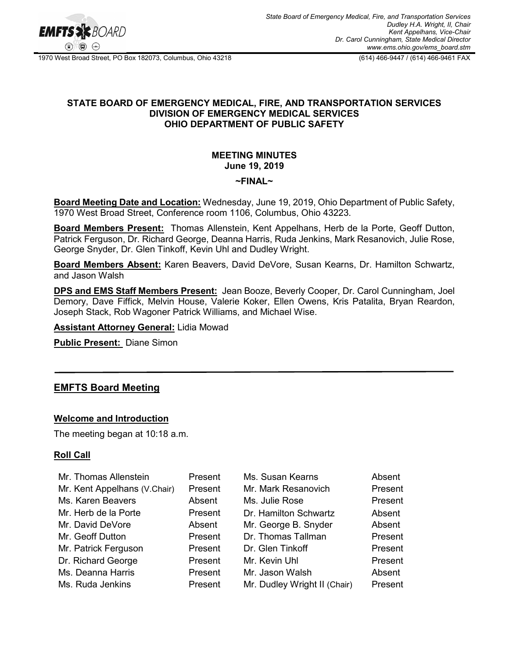

1970 West Broad Street, PO Box 182073, Columbus, Ohio 43218 (614) 466-9447 / (614) 466-9461 FAX

# **STATE BOARD OF EMERGENCY MEDICAL, FIRE, AND TRANSPORTATION SERVICES DIVISION OF EMERGENCY MEDICAL SERVICES OHIO DEPARTMENT OF PUBLIC SAFETY**

# **MEETING MINUTES June 19, 2019**

#### **~FINAL~**

**Board Meeting Date and Location:** Wednesday, June 19, 2019, Ohio Department of Public Safety, 1970 West Broad Street, Conference room 1106, Columbus, Ohio 43223.

**Board Members Present:** Thomas Allenstein, Kent Appelhans, Herb de la Porte, Geoff Dutton, Patrick Ferguson, Dr. Richard George, Deanna Harris, Ruda Jenkins, Mark Resanovich, Julie Rose, George Snyder, Dr. Glen Tinkoff, Kevin Uhl and Dudley Wright.

**Board Members Absent:** Karen Beavers, David DeVore, Susan Kearns, Dr. Hamilton Schwartz, and Jason Walsh

**DPS and EMS Staff Members Present:** Jean Booze, Beverly Cooper, Dr. Carol Cunningham, Joel Demory, Dave Fiffick, Melvin House, Valerie Koker, Ellen Owens, Kris Patalita, Bryan Reardon, Joseph Stack, Rob Wagoner Patrick Williams, and Michael Wise.

**Assistant Attorney General:** Lidia Mowad

**Public Present:** Diane Simon

# **EMFTS Board Meeting**

# **Welcome and Introduction**

The meeting began at 10:18 a.m.

# **Roll Call**

| Mr. Thomas Allenstein        | Present | Ms. Susan Kearns             | Absent  |
|------------------------------|---------|------------------------------|---------|
| Mr. Kent Appelhans (V.Chair) | Present | Mr. Mark Resanovich          | Present |
| Ms. Karen Beavers            | Absent  | Ms. Julie Rose               | Present |
| Mr. Herb de la Porte         | Present | Dr. Hamilton Schwartz        | Absent  |
| Mr. David DeVore             | Absent  | Mr. George B. Snyder         | Absent  |
| Mr. Geoff Dutton             | Present | Dr. Thomas Tallman           | Present |
| Mr. Patrick Ferguson         | Present | Dr. Glen Tinkoff             | Present |
| Dr. Richard George           | Present | Mr. Kevin Uhl                | Present |
| Ms. Deanna Harris            | Present | Mr. Jason Walsh              | Absent  |
| Ms. Ruda Jenkins             | Present | Mr. Dudley Wright II (Chair) | Present |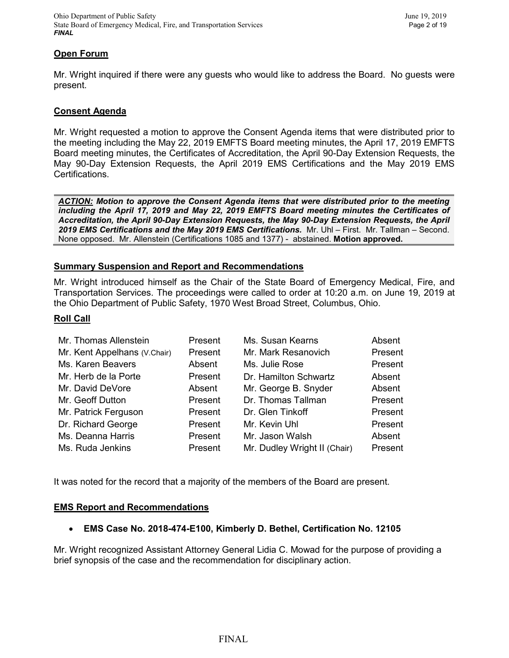### **Open Forum**

Mr. Wright inquired if there were any guests who would like to address the Board. No guests were present.

#### **Consent Agenda**

Mr. Wright requested a motion to approve the Consent Agenda items that were distributed prior to the meeting including the May 22, 2019 EMFTS Board meeting minutes, the April 17, 2019 EMFTS Board meeting minutes, the Certificates of Accreditation, the April 90-Day Extension Requests, the May 90-Day Extension Requests, the April 2019 EMS Certifications and the May 2019 EMS Certifications.

*ACTION: Motion to approve the Consent Agenda items that were distributed prior to the meeting including the April 17, 2019 and May 22, 2019 EMFTS Board meeting minutes the Certificates of Accreditation, the April 90-Day Extension Requests, the May 90-Day Extension Requests, the April 2019 EMS Certifications and the May 2019 EMS Certifications.* Mr. Uhl – First. Mr. Tallman – Second. None opposed. Mr. Allenstein (Certifications 1085 and 1377) - abstained. **Motion approved.**

#### **Summary Suspension and Report and Recommendations**

Mr. Wright introduced himself as the Chair of the State Board of Emergency Medical, Fire, and Transportation Services. The proceedings were called to order at 10:20 a.m. on June 19, 2019 at the Ohio Department of Public Safety, 1970 West Broad Street, Columbus, Ohio.

#### **Roll Call**

| Mr. Thomas Allenstein        | Present | Ms. Susan Kearns             | Absent  |
|------------------------------|---------|------------------------------|---------|
| Mr. Kent Appelhans (V.Chair) | Present | Mr. Mark Resanovich          | Present |
| Ms. Karen Beavers            | Absent  | Ms. Julie Rose               | Present |
| Mr. Herb de la Porte         | Present | Dr. Hamilton Schwartz        | Absent  |
| Mr. David DeVore             | Absent  | Mr. George B. Snyder         | Absent  |
| Mr. Geoff Dutton             | Present | Dr. Thomas Tallman           | Present |
| Mr. Patrick Ferguson         | Present | Dr. Glen Tinkoff             | Present |
| Dr. Richard George           | Present | Mr. Kevin Uhl                | Present |
| Ms. Deanna Harris            | Present | Mr. Jason Walsh              | Absent  |
| Ms. Ruda Jenkins             | Present | Mr. Dudley Wright II (Chair) | Present |

It was noted for the record that a majority of the members of the Board are present.

#### **EMS Report and Recommendations**

#### • **EMS Case No. 2018-474-E100, Kimberly D. Bethel, Certification No. 12105**

Mr. Wright recognized Assistant Attorney General Lidia C. Mowad for the purpose of providing a brief synopsis of the case and the recommendation for disciplinary action.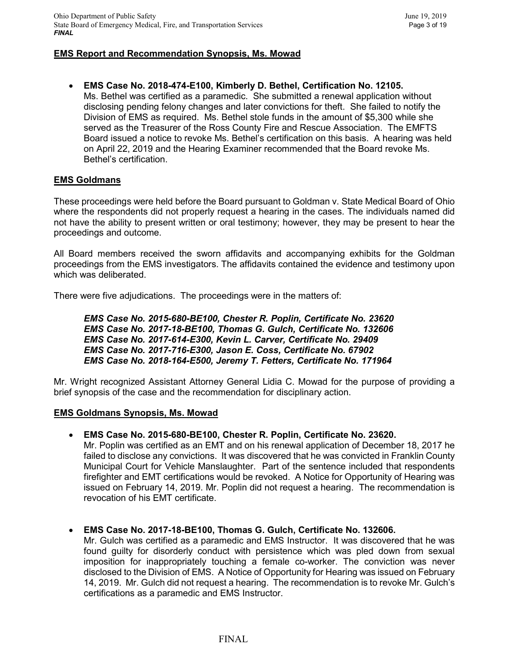### **EMS Report and Recommendation Synopsis, Ms. Mowad**

• **EMS Case No. 2018-474-E100, Kimberly D. Bethel, Certification No. 12105.** Ms. Bethel was certified as a paramedic. She submitted a renewal application without disclosing pending felony changes and later convictions for theft. She failed to notify the Division of EMS as required. Ms. Bethel stole funds in the amount of \$5,300 while she served as the Treasurer of the Ross County Fire and Rescue Association. The EMFTS Board issued a notice to revoke Ms. Bethel's certification on this basis. A hearing was held on April 22, 2019 and the Hearing Examiner recommended that the Board revoke Ms. Bethel's certification.

#### **EMS Goldmans**

These proceedings were held before the Board pursuant to Goldman v. State Medical Board of Ohio where the respondents did not properly request a hearing in the cases. The individuals named did not have the ability to present written or oral testimony; however, they may be present to hear the proceedings and outcome.

All Board members received the sworn affidavits and accompanying exhibits for the Goldman proceedings from the EMS investigators. The affidavits contained the evidence and testimony upon which was deliberated.

There were five adjudications. The proceedings were in the matters of:

*EMS Case No. 2015-680-BE100, Chester R. Poplin, Certificate No. 23620 EMS Case No. 2017-18-BE100, Thomas G. Gulch, Certificate No. 132606 EMS Case No. 2017-614-E300, Kevin L. Carver, Certificate No. 29409 EMS Case No. 2017-716-E300, Jason E. Coss, Certificate No. 67902 EMS Case No. 2018-164-E500, Jeremy T. Fetters, Certificate No. 171964*

Mr. Wright recognized Assistant Attorney General Lidia C. Mowad for the purpose of providing a brief synopsis of the case and the recommendation for disciplinary action.

#### **EMS Goldmans Synopsis, Ms. Mowad**

• **EMS Case No. 2015-680-BE100, Chester R. Poplin, Certificate No. 23620.**

Mr. Poplin was certified as an EMT and on his renewal application of December 18, 2017 he failed to disclose any convictions. It was discovered that he was convicted in Franklin County Municipal Court for Vehicle Manslaughter. Part of the sentence included that respondents firefighter and EMT certifications would be revoked. A Notice for Opportunity of Hearing was issued on February 14, 2019. Mr. Poplin did not request a hearing. The recommendation is revocation of his EMT certificate.

#### • **EMS Case No. 2017-18-BE100, Thomas G. Gulch, Certificate No. 132606.**

Mr. Gulch was certified as a paramedic and EMS Instructor. It was discovered that he was found guilty for disorderly conduct with persistence which was pled down from sexual imposition for inappropriately touching a female co-worker. The conviction was never disclosed to the Division of EMS. A Notice of Opportunity for Hearing was issued on February 14, 2019. Mr. Gulch did not request a hearing. The recommendation is to revoke Mr. Gulch's certifications as a paramedic and EMS Instructor.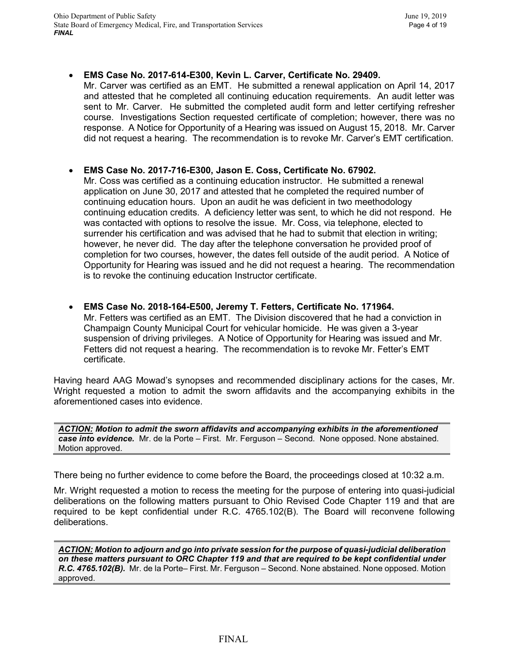### • **EMS Case No. 2017-614-E300, Kevin L. Carver, Certificate No. 29409.**

Mr. Carver was certified as an EMT. He submitted a renewal application on April 14, 2017 and attested that he completed all continuing education requirements. An audit letter was sent to Mr. Carver. He submitted the completed audit form and letter certifying refresher course. Investigations Section requested certificate of completion; however, there was no response. A Notice for Opportunity of a Hearing was issued on August 15, 2018. Mr. Carver did not request a hearing. The recommendation is to revoke Mr. Carver's EMT certification.

### • **EMS Case No. 2017-716-E300, Jason E. Coss, Certificate No. 67902.**

Mr. Coss was certified as a continuing education instructor. He submitted a renewal application on June 30, 2017 and attested that he completed the required number of continuing education hours. Upon an audit he was deficient in two meethodology continuing education credits. A deficiency letter was sent, to which he did not respond. He was contacted with options to resolve the issue. Mr. Coss, via telephone, elected to surrender his certification and was advised that he had to submit that election in writing; however, he never did. The day after the telephone conversation he provided proof of completion for two courses, however, the dates fell outside of the audit period. A Notice of Opportunity for Hearing was issued and he did not request a hearing. The recommendation is to revoke the continuing education Instructor certificate.

• **EMS Case No. 2018-164-E500, Jeremy T. Fetters, Certificate No. 171964.** Mr. Fetters was certified as an EMT. The Division discovered that he had a conviction in Champaign County Municipal Court for vehicular homicide. He was given a 3-year suspension of driving privileges. A Notice of Opportunity for Hearing was issued and Mr. Fetters did not request a hearing. The recommendation is to revoke Mr. Fetter's EMT certificate.

Having heard AAG Mowad's synopses and recommended disciplinary actions for the cases, Mr. Wright requested a motion to admit the sworn affidavits and the accompanying exhibits in the aforementioned cases into evidence.

*ACTION: Motion to admit the sworn affidavits and accompanying exhibits in the aforementioned case into evidence.* Mr. de la Porte – First. Mr. Ferguson – Second. None opposed. None abstained. Motion approved.

There being no further evidence to come before the Board, the proceedings closed at 10:32 a.m.

Mr. Wright requested a motion to recess the meeting for the purpose of entering into quasi-judicial deliberations on the following matters pursuant to Ohio Revised Code Chapter 119 and that are required to be kept confidential under R.C. 4765.102(B). The Board will reconvene following deliberations.

*ACTION: Motion to adjourn and go into private session for the purpose of quasi-judicial deliberation on these matters pursuant to ORC Chapter 119 and that are required to be kept confidential under R.C. 4765.102(B).* Mr. de la Porte– First. Mr. Ferguson – Second. None abstained. None opposed. Motion approved.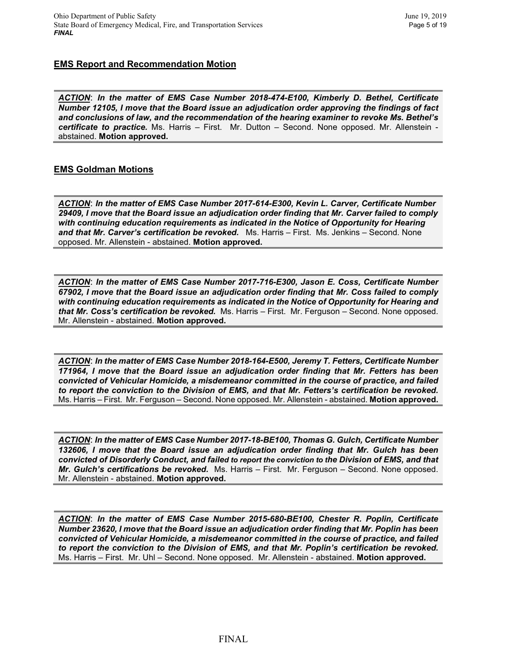# **EMS Report and Recommendation Motion**

*ACTION*: *In the matter of EMS Case Number 2018-474-E100, Kimberly D. Bethel, Certificate Number 12105, I move that the Board issue an adjudication order approving the findings of fact and conclusions of law, and the recommendation of the hearing examiner to revoke Ms. Bethel's certificate to practice.* Ms. Harris – First. Mr. Dutton – Second. None opposed. Mr. Allenstein abstained. **Motion approved.**

# **EMS Goldman Motions**

*ACTION*: *In the matter of EMS Case Number 2017-614-E300, Kevin L. Carver, Certificate Number 29409, I move that the Board issue an adjudication order finding that Mr. Carver failed to comply with continuing education requirements as indicated in the Notice of Opportunity for Hearing and that Mr. Carver's certification be revoked.* Ms. Harris – First. Ms. Jenkins – Second. None opposed. Mr. Allenstein - abstained. **Motion approved.**

*ACTION*: *In the matter of EMS Case Number 2017-716-E300, Jason E. Coss, Certificate Number 67902, I move that the Board issue an adjudication order finding that Mr. Coss failed to comply with continuing education requirements as indicated in the Notice of Opportunity for Hearing and that Mr. Coss's certification be revoked.* Ms. Harris – First. Mr. Ferguson – Second. None opposed. Mr. Allenstein - abstained. **Motion approved.**

*ACTION*: *In the matter of EMS Case Number 2018-164-E500, Jeremy T. Fetters, Certificate Number 171964, I move that the Board issue an adjudication order finding that Mr. Fetters has been convicted of Vehicular Homicide, a misdemeanor committed in the course of practice, and failed to report the conviction to the Division of EMS, and that Mr. Fetters's certification be revoked.*  Ms. Harris – First. Mr. Ferguson – Second. None opposed. Mr. Allenstein - abstained. **Motion approved.**

*ACTION*: *In the matter of EMS Case Number 2017-18-BE100, Thomas G. Gulch, Certificate Number 132606, I move that the Board issue an adjudication order finding that Mr. Gulch has been convicted of Disorderly Conduct, and failed to report the conviction to the Division of EMS, and that Mr. Gulch's certifications be revoked.* Ms. Harris – First. Mr. Ferguson – Second. None opposed. Mr. Allenstein - abstained. **Motion approved.**

*ACTION*: *In the matter of EMS Case Number 2015-680-BE100, Chester R. Poplin, Certificate Number 23620, I move that the Board issue an adjudication order finding that Mr. Poplin has been convicted of Vehicular Homicide, a misdemeanor committed in the course of practice, and failed to report the conviction to the Division of EMS, and that Mr. Poplin's certification be revoked.*  Ms. Harris – First. Mr. Uhl – Second. None opposed. Mr. Allenstein - abstained. **Motion approved.**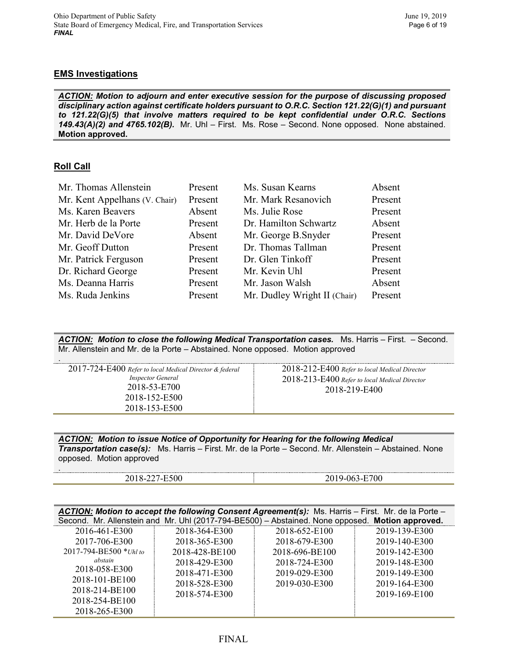#### **EMS Investigations**

*ACTION: Motion to adjourn and enter executive session for the purpose of discussing proposed disciplinary action against certificate holders pursuant to O.R.C. Section 121.22(G)(1) and pursuant to 121.22(G)(5) that involve matters required to be kept confidential under O.R.C. Sections 149.43(A)(2) and 4765.102(B).* Mr. Uhl – First. Ms. Rose – Second. None opposed. None abstained. **Motion approved.**

# **Roll Call**

.

| Mr. Thomas Allenstein         | Present | Ms. Susan Kearns             | Absent  |
|-------------------------------|---------|------------------------------|---------|
| Mr. Kent Appelhans (V. Chair) | Present | Mr. Mark Resanovich          | Present |
| Ms. Karen Beavers             | Absent  | Ms. Julie Rose               | Present |
| Mr. Herb de la Porte          | Present | Dr. Hamilton Schwartz        | Absent  |
| Mr. David DeVore              | Absent  | Mr. George B.Snyder          | Present |
| Mr. Geoff Dutton              | Present | Dr. Thomas Tallman           | Present |
| Mr. Patrick Ferguson          | Present | Dr. Glen Tinkoff             | Present |
| Dr. Richard George            | Present | Mr. Kevin Uhl                | Present |
| Ms. Deanna Harris             | Present | Mr. Jason Walsh              | Absent  |
| Ms. Ruda Jenkins              | Present | Mr. Dudley Wright II (Chair) | Present |

*ACTION: Motion to close the following Medical Transportation cases.* Ms. Harris – First. – Second. Mr. Allenstein and Mr. de la Porte – Abstained. None opposed. Motion approved

| 2018-153-E500 | 2018-219-F400 |  |
|---------------|---------------|--|
|---------------|---------------|--|

*ACTION: Motion to issue Notice of Opportunity for Hearing for the following Medical Transportation case(s):* Ms. Harris – First. Mr. de la Porte – Second. Mr. Allenstein – Abstained. None opposed. Motion approved

| $\sim$ 0.0<br>וו<br>-<br>.<br>- | $-700$<br>Δ£ |
|---------------------------------|--------------|

|                               |                | ACTION: Motion to accept the following Consent Agreement(s): Ms. Harris - First. Mr. de la Porte - |               |
|-------------------------------|----------------|----------------------------------------------------------------------------------------------------|---------------|
|                               |                | Second. Mr. Allenstein and Mr. Uhl (2017-794-BE500) - Abstained. None opposed. Motion approved.    |               |
| 2016-461-E300                 | 2018-364-E300  | 2018-652-E100                                                                                      | 2019-139-E300 |
| 2017-706-E300                 | 2018-365-E300  | 2018-679-E300                                                                                      | 2019-140-E300 |
| $2017 - 794 - BE500 * Uhl to$ | 2018-428-BE100 | 2018-696-BE100                                                                                     | 2019-142-E300 |
| abstain                       | 2018-429-E300  | 2018-724-E300                                                                                      | 2019-148-E300 |
| 2018-058-E300                 | 2018-471-E300  | 2019-029-E300                                                                                      | 2019-149-E300 |
| 2018-101-BE100                | 2018-528-E300  | 2019-030-E300                                                                                      | 2019-164-E300 |
| 2018-214-BE100                | 2018-574-E300  |                                                                                                    | 2019-169-E100 |
| 2018-254-BE100                |                |                                                                                                    |               |
| 2018-265-E300                 |                |                                                                                                    |               |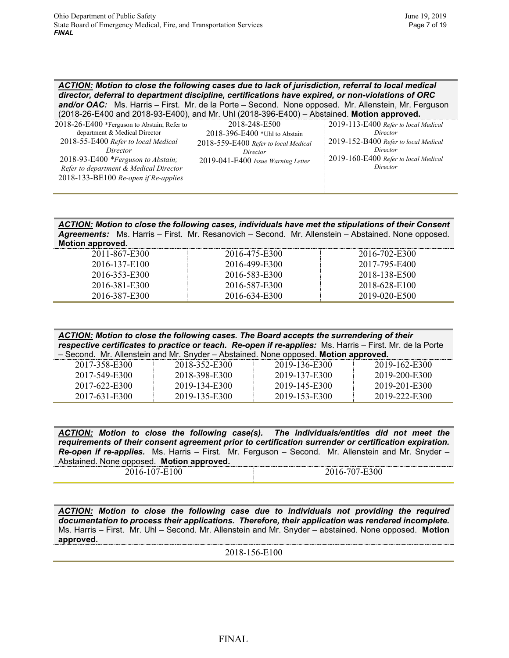*ACTION: Motion to close the following cases due to lack of jurisdiction, referral to local medical director, deferral to department discipline, certifications have expired, or non-violations of ORC*  and/or OAC: Ms. Harris - First. Mr. de la Porte - Second. None opposed. Mr. Allenstein, Mr. Ferguson

| $(2018-26-E400$ and $2018-93-E400)$ , and Mr. Uhl $(2018-396-E400)$ – Abstained. <b>Motion approved.</b> |                                      |                                      |
|----------------------------------------------------------------------------------------------------------|--------------------------------------|--------------------------------------|
| 2018-26-E400 *Ferguson to Abstain; Refer to                                                              | 2018-248-E500                        | 2019-113-E400 Refer to local Medical |
| department & Medical Director                                                                            | $2018 - 396 - E400$ *Uhl to Abstain  | Director                             |
| 2018-55-E400 Refer to local Medical                                                                      | 2018-559-E400 Refer to local Medical | 2019-152-B400 Refer to local Medical |
| Director                                                                                                 | Director                             | Director                             |
| 2018-93-E400 *Ferguson to Abstain;                                                                       | 2019-041-E400 Issue Warning Letter   | 2019-160-E400 Refer to local Medical |
| Refer to department & Medical Director                                                                   |                                      | Director                             |
| 2018-133-BE100 Re-open if Re-applies                                                                     |                                      |                                      |
|                                                                                                          |                                      |                                      |

*ACTION: Motion to close the following cases, individuals have met the stipulations of their Consent Agreements:* Ms. Harris – First. Mr. Resanovich – Second. Mr. Allenstein – Abstained. None opposed. **Motion approved.**

| 2011-867-E300 | 2016-475-E300 | 2016-702-E300 |
|---------------|---------------|---------------|
| 2016-137-E100 | 2016-499-E300 | 2017-795-E400 |
| 2016-353-E300 | 2016-583-E300 | 2018-138-E500 |
| 2016-381-E300 | 2016-587-E300 | 2018-628-E100 |
| 2016-387-E300 | 2016-634-E300 | 2019-020-E500 |

| ACTION: Motion to close the following cases. The Board accepts the surrendering of their                 |  |  |  |
|----------------------------------------------------------------------------------------------------------|--|--|--|
| respective certificates to practice or teach. Re-open if re-applies: Ms. Harris – First. Mr. de la Porte |  |  |  |
| - Second. Mr. Allenstein and Mr. Snyder - Abstained. None opposed. Motion approved.                      |  |  |  |

| 2017-358-E300 | 2018-352-E300 | 2019-136-E300 | 2019-162-E300 |
|---------------|---------------|---------------|---------------|
| 2017-549-E300 | 2018-398-E300 | 2019-137-E300 | 2019-200-E300 |
| 2017-622-E300 | 2019-134-E300 | 2019-145-E300 | 2019-201-E300 |
| 2017-631-E300 | 2019-135-E300 | 2019-153-E300 | 2019-222-E300 |

*ACTION: Motion to close the following case(s). The individuals/entities did not meet the requirements of their consent agreement prior to certification surrender or certification expiration. Re-open if re-applies.* Ms. Harris – First. Mr. Ferguson – Second. Mr. Allenstein and Mr. Snyder – Abstained. None opposed. **Motion approved.**

| 2016-107-E100 |  |  |  |
|---------------|--|--|--|

2016-707-E300

*ACTION: Motion to close the following case due to individuals not providing the required documentation to process their applications. Therefore, their application was rendered incomplete.*  Ms. Harris – First. Mr. Uhl – Second. Mr. Allenstein and Mr. Snyder – abstained. None opposed. **Motion approved.**

2018-156-E100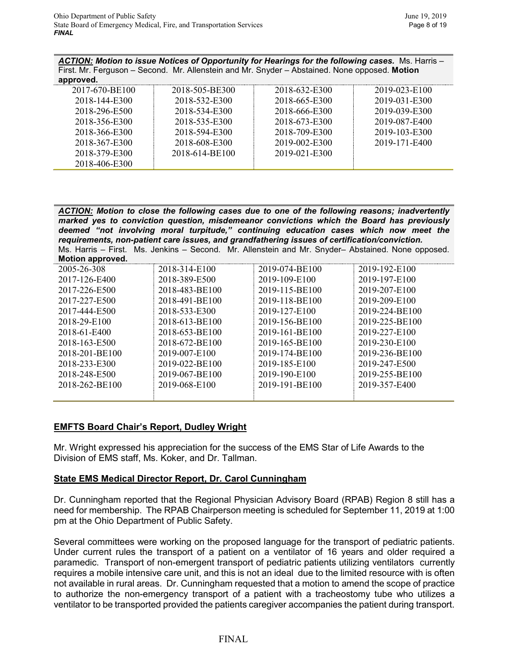*ACTION: Motion to issue Notices of Opportunity for Hearings for the following cases.* Ms. Harris – First. Mr. Ferguson – Second. Mr. Allenstein and Mr. Snyder – Abstained. None opposed. **Motion approved.**

| approveu.      |                |               |               |
|----------------|----------------|---------------|---------------|
| 2017-670-BE100 | 2018-505-BE300 | 2018-632-E300 | 2019-023-E100 |
| 2018-144-E300  | 2018-532-E300  | 2018-665-E300 | 2019-031-E300 |
| 2018-296-E500  | 2018-534-E300  | 2018-666-E300 | 2019-039-E300 |
| 2018-356-E300  | 2018-535-E300  | 2018-673-E300 | 2019-087-E400 |
| 2018-366-E300  | 2018-594-E300  | 2018-709-E300 | 2019-103-E300 |
| 2018-367-E300  | 2018-608-E300  | 2019-002-E300 | 2019-171-E400 |
| 2018-379-E300  | 2018-614-BE100 | 2019-021-E300 |               |
| 2018-406-E300  |                |               |               |

*ACTION: Motion to close the following cases due to one of the following reasons; inadvertently marked yes to conviction question, misdemeanor convictions which the Board has previously deemed "not involving moral turpitude," continuing education cases which now meet the requirements, non-patient care issues, and grandfathering issues of certification/conviction.* Ms. Harris – First. Ms. Jenkins – Second. Mr. Allenstein and Mr. Snyder– Abstained. None opposed. **Motion approved.**

| <b>IVIULIUII APPIUVUL</b> |                |                |                |
|---------------------------|----------------|----------------|----------------|
| 2005-26-308               | 2018-314-E100  | 2019-074-BE100 | 2019-192-E100  |
| 2017-126-E400             | 2018-389-E500  | 2019-109-E100  | 2019-197-E100  |
| 2017-226-E500             | 2018-483-BE100 | 2019-115-BE100 | 2019-207-E100  |
| 2017-227-E500             | 2018-491-BE100 | 2019-118-BE100 | 2019-209-E100  |
| 2017-444-E500             | 2018-533-E300  | 2019-127-E100  | 2019-224-BE100 |
| 2018-29-E100              | 2018-613-BE100 | 2019-156-BE100 | 2019-225-BE100 |
| 2018-61-E400              | 2018-653-BE100 | 2019-161-BE100 | 2019-227-E100  |
| 2018-163-E500             | 2018-672-BE100 | 2019-165-BE100 | 2019-230-E100  |
| 2018-201-BE100            | 2019-007-E100  | 2019-174-BE100 | 2019-236-BE100 |
| 2018-233-E300             | 2019-022-BE100 | 2019-185-E100  | 2019-247-E500  |
| 2018-248-E500             | 2019-067-BE100 | 2019-190-E100  | 2019-255-BE100 |
| 2018-262-BE100            | 2019-068-E100  | 2019-191-BE100 | 2019-357-E400  |
|                           |                |                |                |

# **EMFTS Board Chair's Report, Dudley Wright**

Mr. Wright expressed his appreciation for the success of the EMS Star of Life Awards to the Division of EMS staff, Ms. Koker, and Dr. Tallman.

# **State EMS Medical Director Report, Dr. Carol Cunningham**

Dr. Cunningham reported that the Regional Physician Advisory Board (RPAB) Region 8 still has a need for membership. The RPAB Chairperson meeting is scheduled for September 11, 2019 at 1:00 pm at the Ohio Department of Public Safety.

Several committees were working on the proposed language for the transport of pediatric patients. Under current rules the transport of a patient on a ventilator of 16 years and older required a paramedic. Transport of non-emergent transport of pediatric patients utilizing ventilators currently requires a mobile intensive care unit, and this is not an ideal due to the limited resource with is often not available in rural areas. Dr. Cunningham requested that a motion to amend the scope of practice to authorize the non-emergency transport of a patient with a tracheostomy tube who utilizes a ventilator to be transported provided the patients caregiver accompanies the patient during transport.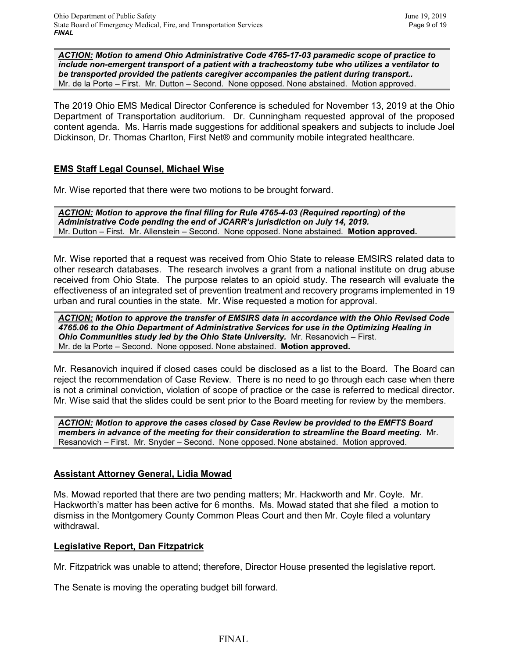*ACTION: Motion to amend Ohio Administrative Code 4765-17-03 paramedic scope of practice to include non-emergent transport of a patient with a tracheostomy tube who utilizes a ventilator to be transported provided the patients caregiver accompanies the patient during transport..* Mr. de la Porte – First. Mr. Dutton – Second. None opposed. None abstained. Motion approved.

The 2019 Ohio EMS Medical Director Conference is scheduled for November 13, 2019 at the Ohio Department of Transportation auditorium. Dr. Cunningham requested approval of the proposed content agenda. Ms. Harris made suggestions for additional speakers and subjects to include Joel Dickinson, Dr. Thomas Charlton, First Net® and community mobile integrated healthcare.

# **EMS Staff Legal Counsel, Michael Wise**

Mr. Wise reported that there were two motions to be brought forward.

*ACTION: Motion to approve the final filing for Rule 4765-4-03 (Required reporting) of the Administrative Code pending the end of JCARR's jurisdiction on July 14, 2019.* Mr. Dutton – First. Mr. Allenstein – Second. None opposed. None abstained. **Motion approved.** 

Mr. Wise reported that a request was received from Ohio State to release EMSIRS related data to other research databases. The research involves a grant from a national institute on drug abuse received from Ohio State. The purpose relates to an opioid study. The research will evaluate the effectiveness of an integrated set of prevention treatment and recovery programs implemented in 19 urban and rural counties in the state. Mr. Wise requested a motion for approval.

*ACTION: Motion to approve the transfer of EMSIRS data in accordance with the Ohio Revised Code 4765.06 to the Ohio Department of Administrative Services for use in the Optimizing Healing in*  **Ohio Communities study led by the Ohio State University.** Mr. Resanovich – First. Mr. de la Porte – Second. None opposed. None abstained. **Motion approved.**

Mr. Resanovich inquired if closed cases could be disclosed as a list to the Board. The Board can reject the recommendation of Case Review. There is no need to go through each case when there is not a criminal conviction, violation of scope of practice or the case is referred to medical director. Mr. Wise said that the slides could be sent prior to the Board meeting for review by the members.

*ACTION: Motion to approve the cases closed by Case Review be provided to the EMFTS Board members in advance of the meeting for their consideration to streamline the Board meeting.* Mr. Resanovich – First. Mr. Snyder – Second. None opposed. None abstained. Motion approved.

# **Assistant Attorney General, Lidia Mowad**

Ms. Mowad reported that there are two pending matters; Mr. Hackworth and Mr. Coyle. Mr. Hackworth's matter has been active for 6 months. Ms. Mowad stated that she filed a motion to dismiss in the Montgomery County Common Pleas Court and then Mr. Coyle filed a voluntary withdrawal.

# **Legislative Report, Dan Fitzpatrick**

Mr. Fitzpatrick was unable to attend; therefore, Director House presented the legislative report.

The Senate is moving the operating budget bill forward.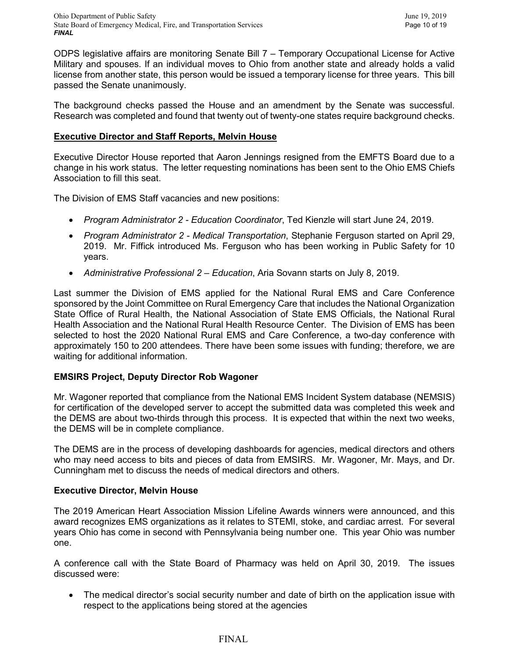Ohio Department of Public Safety June 19, 2019 State Board of Emergency Medical, Fire, and Transportation Services Page 10 of 19 *FINAL*

ODPS legislative affairs are monitoring Senate Bill 7 – Temporary Occupational License for Active Military and spouses. If an individual moves to Ohio from another state and already holds a valid license from another state, this person would be issued a temporary license for three years. This bill passed the Senate unanimously.

The background checks passed the House and an amendment by the Senate was successful. Research was completed and found that twenty out of twenty-one states require background checks.

### **Executive Director and Staff Reports, Melvin House**

Executive Director House reported that Aaron Jennings resigned from the EMFTS Board due to a change in his work status. The letter requesting nominations has been sent to the Ohio EMS Chiefs Association to fill this seat.

The Division of EMS Staff vacancies and new positions:

- *Program Administrator 2 - Education Coordinator*, Ted Kienzle will start June 24, 2019.
- *Program Administrator 2 - Medical Transportation*, Stephanie Ferguson started on April 29, 2019. Mr. Fiffick introduced Ms. Ferguson who has been working in Public Safety for 10 years.
- *Administrative Professional 2 – Education*, Aria Sovann starts on July 8, 2019.

Last summer the Division of EMS applied for the National Rural EMS and Care Conference sponsored by the Joint Committee on Rural Emergency Care that includes the National Organization State Office of Rural Health, the National Association of State EMS Officials, the National Rural Health Association and the National Rural Health Resource Center. The Division of EMS has been selected to host the 2020 National Rural EMS and Care Conference, a two-day conference with approximately 150 to 200 attendees. There have been some issues with funding; therefore, we are waiting for additional information.

# **EMSIRS Project, Deputy Director Rob Wagoner**

Mr. Wagoner reported that compliance from the National EMS Incident System database (NEMSIS) for certification of the developed server to accept the submitted data was completed this week and the DEMS are about two-thirds through this process. It is expected that within the next two weeks, the DEMS will be in complete compliance.

The DEMS are in the process of developing dashboards for agencies, medical directors and others who may need access to bits and pieces of data from EMSIRS. Mr. Wagoner, Mr. Mays, and Dr. Cunningham met to discuss the needs of medical directors and others.

#### **Executive Director, Melvin House**

The 2019 American Heart Association Mission Lifeline Awards winners were announced, and this award recognizes EMS organizations as it relates to STEMI, stoke, and cardiac arrest. For several years Ohio has come in second with Pennsylvania being number one. This year Ohio was number one.

A conference call with the State Board of Pharmacy was held on April 30, 2019. The issues discussed were:

• The medical director's social security number and date of birth on the application issue with respect to the applications being stored at the agencies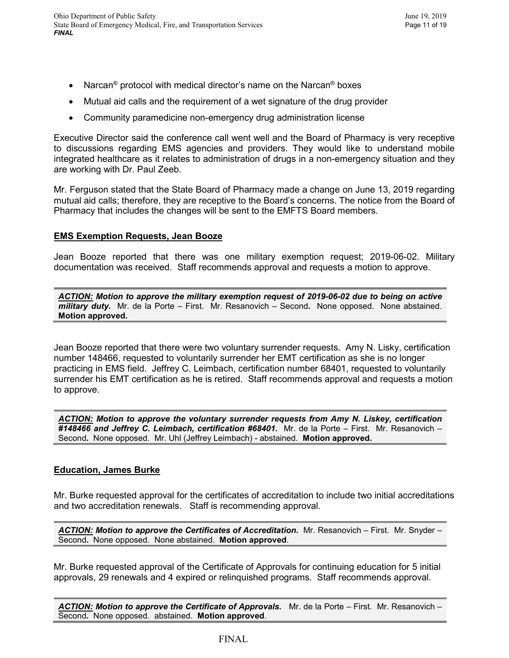- Narcan<sup>®</sup> protocol with medical director's name on the Narcan<sup>®</sup> boxes
- Mutual aid calls and the requirement of a wet signature of the drug provider
- Community paramedicine non-emergency drug administration license

Executive Director said the conference call went well and the Board of Pharmacy is very receptive to discussions regarding EMS agencies and providers. They would like to understand mobile integrated healthcare as it relates to administration of drugs in a non-emergency situation and they are working with Dr. Paul Zeeb.

Mr. Ferguson stated that the State Board of Pharmacy made a change on June 13, 2019 regarding mutual aid calls; therefore, they are receptive to the Board's concerns. The notice from the Board of Pharmacy that includes the changes will be sent to the EMFTS Board members.

# **EMS Exemption Requests, Jean Booze**

Jean Booze reported that there was one military exemption request; 2019-06-02. Military documentation was received. Staff recommends approval and requests a motion to approve.

*ACTION: Motion to approve the military exemption request of 2019-06-02 due to being on active military duty.* Mr. de la Porte – First. Mr. Resanovich – Second*.* None opposed. None abstained. **Motion approved.**

Jean Booze reported that there were two voluntary surrender requests. Amy N. Lisky, certification number 148466, requested to voluntarily surrender her EMT certification as she is no longer practicing in EMS field. Jeffrey C. Leimbach, certification number 68401, requested to voluntarily surrender his EMT certification as he is retired. Staff recommends approval and requests a motion to approve.

*ACTION: Motion to approve the voluntary surrender requests from Amy N. Liskey, certification #148466 and Jeffrey C. Leimbach, certification #68401.* Mr. de la Porte – First. Mr. Resanovich – Second*.* None opposed. Mr. Uhl (Jeffrey Leimbach) - abstained. **Motion approved.**

# **Education, James Burke**

Mr. Burke requested approval for the certificates of accreditation to include two initial accreditations and two accreditation renewals. Staff is recommending approval.

*ACTION: Motion to approve the Certificates of Accreditation.* Mr. Resanovich – First. Mr. Snyder – Second*.* None opposed. None abstained. **Motion approved**.

Mr. Burke requested approval of the Certificate of Approvals for continuing education for 5 initial approvals, 29 renewals and 4 expired or relinquished programs. Staff recommends approval.

*ACTION: Motion to approve the Certificate of Approvals.* Mr. de la Porte – First. Mr. Resanovich – Second*.* None opposed. abstained. **Motion approved**.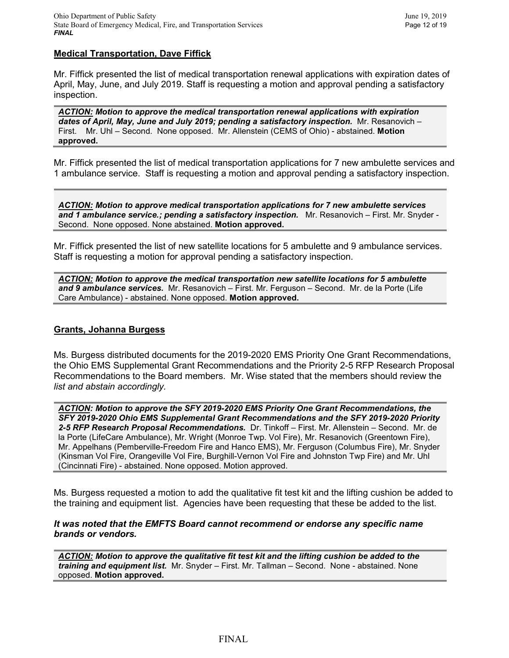#### **Medical Transportation, Dave Fiffick**

Mr. Fiffick presented the list of medical transportation renewal applications with expiration dates of April, May, June, and July 2019. Staff is requesting a motion and approval pending a satisfactory inspection.

*ACTION: Motion to approve the medical transportation renewal applications with expiration dates of April, May, June and July 2019; pending a satisfactory inspection.* Mr. Resanovich – First. Mr. Uhl – Second. None opposed. Mr. Allenstein (CEMS of Ohio) - abstained. **Motion approved.**

Mr. Fiffick presented the list of medical transportation applications for 7 new ambulette services and 1 ambulance service. Staff is requesting a motion and approval pending a satisfactory inspection.

*ACTION: Motion to approve medical transportation applications for 7 new ambulette services and 1 ambulance service.; pending a satisfactory inspection.* Mr. Resanovich – First. Mr. Snyder - Second. None opposed. None abstained. **Motion approved.**

Mr. Fiffick presented the list of new satellite locations for 5 ambulette and 9 ambulance services. Staff is requesting a motion for approval pending a satisfactory inspection.

*ACTION: Motion to approve the medical transportation new satellite locations for 5 ambulette and 9 ambulance services.* Mr. Resanovich – First. Mr. Ferguson – Second. Mr. de la Porte (Life Care Ambulance) - abstained. None opposed. **Motion approved.**

#### **Grants, Johanna Burgess**

Ms. Burgess distributed documents for the 2019-2020 EMS Priority One Grant Recommendations, the Ohio EMS Supplemental Grant Recommendations and the Priority 2-5 RFP Research Proposal Recommendations to the Board members. Mr. Wise stated that the members should review the *list and abstain accordingly.* 

*ACTION: Motion to approve the SFY 2019-2020 EMS Priority One Grant Recommendations, the SFY 2019-2020 Ohio EMS Supplemental Grant Recommendations and the SFY 2019-2020 Priority 2-5 RFP Research Proposal Recommendations.* Dr. Tinkoff – First. Mr. Allenstein – Second. Mr. de la Porte (LifeCare Ambulance), Mr. Wright (Monroe Twp. Vol Fire), Mr. Resanovich (Greentown Fire), Mr. Appelhans (Pemberville-Freedom Fire and Hanco EMS), Mr. Ferguson (Columbus Fire), Mr. Snyder (Kinsman Vol Fire, Orangeville Vol Fire, Burghill-Vernon Vol Fire and Johnston Twp Fire) and Mr. Uhl (Cincinnati Fire) - abstained. None opposed. Motion approved.

Ms. Burgess requested a motion to add the qualitative fit test kit and the lifting cushion be added to the training and equipment list. Agencies have been requesting that these be added to the list.

#### *It was noted that the EMFTS Board cannot recommend or endorse any specific name brands or vendors.*

*ACTION: Motion to approve the qualitative fit test kit and the lifting cushion be added to the training and equipment list.* Mr. Snyder – First. Mr. Tallman – Second. None - abstained. None opposed. **Motion approved.**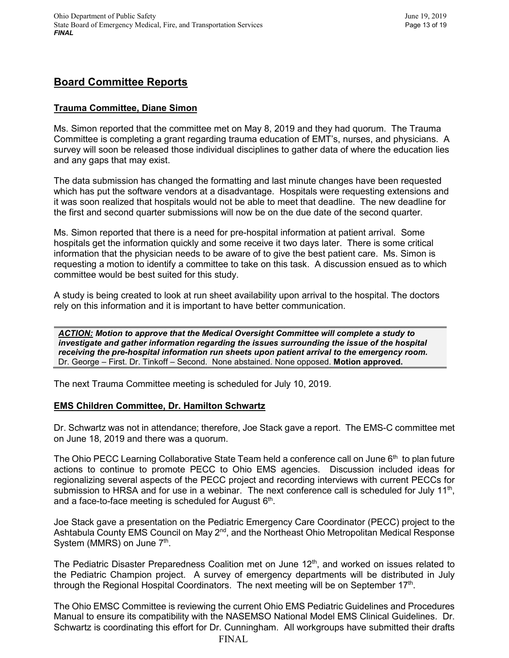# **Board Committee Reports**

# **Trauma Committee, Diane Simon**

Ms. Simon reported that the committee met on May 8, 2019 and they had quorum. The Trauma Committee is completing a grant regarding trauma education of EMT's, nurses, and physicians. A survey will soon be released those individual disciplines to gather data of where the education lies and any gaps that may exist.

The data submission has changed the formatting and last minute changes have been requested which has put the software vendors at a disadvantage. Hospitals were requesting extensions and it was soon realized that hospitals would not be able to meet that deadline. The new deadline for the first and second quarter submissions will now be on the due date of the second quarter.

Ms. Simon reported that there is a need for pre-hospital information at patient arrival. Some hospitals get the information quickly and some receive it two days later. There is some critical information that the physician needs to be aware of to give the best patient care. Ms. Simon is requesting a motion to identify a committee to take on this task. A discussion ensued as to which committee would be best suited for this study.

A study is being created to look at run sheet availability upon arrival to the hospital. The doctors rely on this information and it is important to have better communication.

*ACTION: Motion to approve that the Medical Oversight Committee will complete a study to investigate and gather information regarding the issues surrounding the issue of the hospital receiving the pre-hospital information run sheets upon patient arrival to the emergency room.*  Dr. George – First. Dr. Tinkoff – Second. None abstained. None opposed. **Motion approved.**

The next Trauma Committee meeting is scheduled for July 10, 2019.

# **EMS Children Committee, Dr. Hamilton Schwartz**

Dr. Schwartz was not in attendance; therefore, Joe Stack gave a report. The EMS-C committee met on June 18, 2019 and there was a quorum.

The Ohio PECC Learning Collaborative State Team held a conference call on June  $6<sup>th</sup>$  to plan future actions to continue to promote PECC to Ohio EMS agencies. Discussion included ideas for regionalizing several aspects of the PECC project and recording interviews with current PECCs for submission to HRSA and for use in a webinar. The next conference call is scheduled for July  $11<sup>th</sup>$ , and a face-to-face meeting is scheduled for August  $6<sup>th</sup>$ .

Joe Stack gave a presentation on the Pediatric Emergency Care Coordinator (PECC) project to the Ashtabula County EMS Council on May 2<sup>nd</sup>, and the Northeast Ohio Metropolitan Medical Response System (MMRS) on June  $7<sup>th</sup>$ .

The Pediatric Disaster Preparedness Coalition met on June 12<sup>th</sup>, and worked on issues related to the Pediatric Champion project. A survey of emergency departments will be distributed in July through the Regional Hospital Coordinators. The next meeting will be on September  $17<sup>th</sup>$ .

The Ohio EMSC Committee is reviewing the current Ohio EMS Pediatric Guidelines and Procedures Manual to ensure its compatibility with the NASEMSO National Model EMS Clinical Guidelines. Dr. Schwartz is coordinating this effort for Dr. Cunningham. All workgroups have submitted their drafts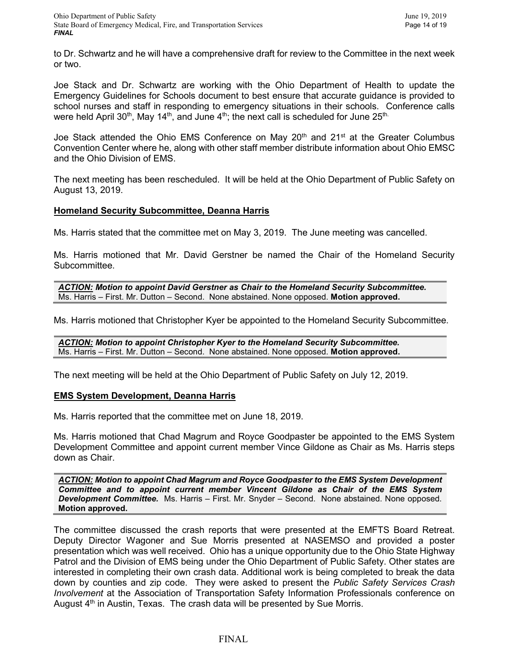to Dr. Schwartz and he will have a comprehensive draft for review to the Committee in the next week or two.

Joe Stack and Dr. Schwartz are working with the Ohio Department of Health to update the Emergency Guidelines for Schools document to best ensure that accurate guidance is provided to school nurses and staff in responding to emergency situations in their schools. Conference calls were held April 30<sup>th</sup>, May 14<sup>th</sup>, and June  $4<sup>th</sup>$ ; the next call is scheduled for June 25<sup>th.</sup>

Joe Stack attended the Ohio EMS Conference on May 20<sup>th</sup> and 21<sup>st</sup> at the Greater Columbus Convention Center where he, along with other staff member distribute information about Ohio EMSC and the Ohio Division of EMS.

The next meeting has been rescheduled. It will be held at the Ohio Department of Public Safety on August 13, 2019.

#### **Homeland Security Subcommittee, Deanna Harris**

Ms. Harris stated that the committee met on May 3, 2019. The June meeting was cancelled.

Ms. Harris motioned that Mr. David Gerstner be named the Chair of the Homeland Security Subcommittee.

*ACTION: Motion to appoint David Gerstner as Chair to the Homeland Security Subcommittee.*  Ms. Harris – First. Mr. Dutton – Second. None abstained. None opposed. **Motion approved.**

Ms. Harris motioned that Christopher Kyer be appointed to the Homeland Security Subcommittee.

*ACTION: Motion to appoint Christopher Kyer to the Homeland Security Subcommittee.*  Ms. Harris – First. Mr. Dutton – Second. None abstained. None opposed. **Motion approved.**

The next meeting will be held at the Ohio Department of Public Safety on July 12, 2019.

#### **EMS System Development, Deanna Harris**

Ms. Harris reported that the committee met on June 18, 2019.

Ms. Harris motioned that Chad Magrum and Royce Goodpaster be appointed to the EMS System Development Committee and appoint current member Vince Gildone as Chair as Ms. Harris steps down as Chair.

*ACTION: Motion to appoint Chad Magrum and Royce Goodpaster to the EMS System Development Committee and to appoint current member Vincent Gildone as Chair of the EMS System Development Committee.* Ms. Harris – First. Mr. Snyder – Second. None abstained. None opposed. **Motion approved.**

The committee discussed the crash reports that were presented at the EMFTS Board Retreat. Deputy Director Wagoner and Sue Morris presented at NASEMSO and provided a poster presentation which was well received. Ohio has a unique opportunity due to the Ohio State Highway Patrol and the Division of EMS being under the Ohio Department of Public Safety. Other states are interested in completing their own crash data. Additional work is being completed to break the data down by counties and zip code. They were asked to present the *Public Safety Services Crash Involvement* at the Association of Transportation Safety Information Professionals conference on August  $4<sup>th</sup>$  in Austin, Texas. The crash data will be presented by Sue Morris.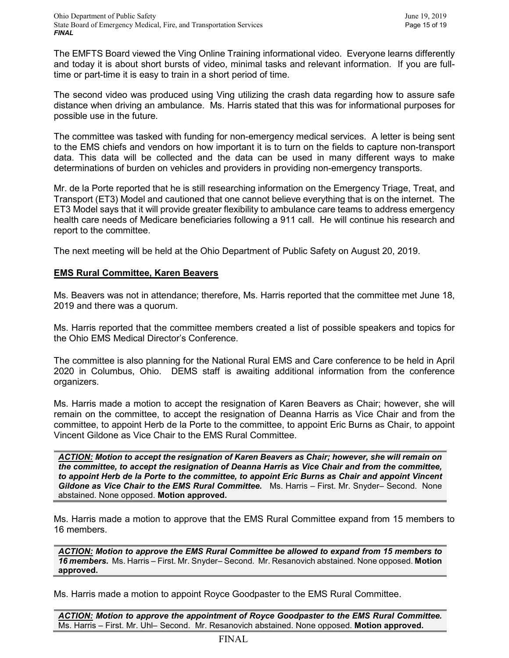The EMFTS Board viewed the Ving Online Training informational video. Everyone learns differently and today it is about short bursts of video, minimal tasks and relevant information. If you are fulltime or part-time it is easy to train in a short period of time.

The second video was produced using Ving utilizing the crash data regarding how to assure safe distance when driving an ambulance. Ms. Harris stated that this was for informational purposes for possible use in the future.

The committee was tasked with funding for non-emergency medical services. A letter is being sent to the EMS chiefs and vendors on how important it is to turn on the fields to capture non-transport data. This data will be collected and the data can be used in many different ways to make determinations of burden on vehicles and providers in providing non-emergency transports.

Mr. de la Porte reported that he is still researching information on the Emergency Triage, Treat, and Transport (ET3) Model and cautioned that one cannot believe everything that is on the internet. The ET3 Model says that it will provide greater flexibility to ambulance care teams to address emergency health care needs of Medicare beneficiaries following a 911 call. He will continue his research and report to the committee.

The next meeting will be held at the Ohio Department of Public Safety on August 20, 2019.

# **EMS Rural Committee, Karen Beavers**

Ms. Beavers was not in attendance; therefore, Ms. Harris reported that the committee met June 18, 2019 and there was a quorum.

Ms. Harris reported that the committee members created a list of possible speakers and topics for the Ohio EMS Medical Director's Conference.

The committee is also planning for the National Rural EMS and Care conference to be held in April 2020 in Columbus, Ohio. DEMS staff is awaiting additional information from the conference organizers.

Ms. Harris made a motion to accept the resignation of Karen Beavers as Chair; however, she will remain on the committee, to accept the resignation of Deanna Harris as Vice Chair and from the committee, to appoint Herb de la Porte to the committee, to appoint Eric Burns as Chair, to appoint Vincent Gildone as Vice Chair to the EMS Rural Committee.

*ACTION: Motion to accept the resignation of Karen Beavers as Chair; however, she will remain on the committee, to accept the resignation of Deanna Harris as Vice Chair and from the committee, to appoint Herb de la Porte to the committee, to appoint Eric Burns as Chair and appoint Vincent Gildone as Vice Chair to the EMS Rural Committee.* Ms. Harris – First. Mr. Snyder– Second. None abstained. None opposed. **Motion approved.**

Ms. Harris made a motion to approve that the EMS Rural Committee expand from 15 members to 16 members.

*ACTION: Motion to approve the EMS Rural Committee be allowed to expand from 15 members to 16 members.* Ms. Harris – First. Mr. Snyder– Second. Mr. Resanovich abstained. None opposed. **Motion approved.**

Ms. Harris made a motion to appoint Royce Goodpaster to the EMS Rural Committee.

*ACTION: Motion to approve the appointment of Royce Goodpaster to the EMS Rural Committee.*  Ms. Harris – First. Mr. Uhl– Second. Mr. Resanovich abstained. None opposed. **Motion approved.**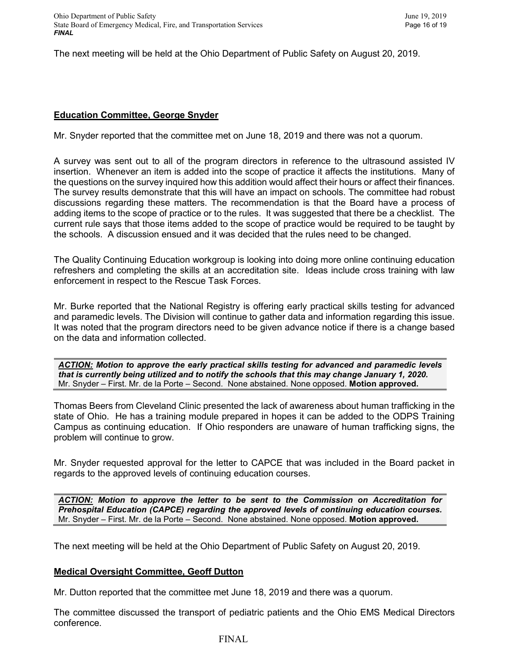The next meeting will be held at the Ohio Department of Public Safety on August 20, 2019.

# **Education Committee, George Snyder**

Mr. Snyder reported that the committee met on June 18, 2019 and there was not a quorum.

A survey was sent out to all of the program directors in reference to the ultrasound assisted IV insertion. Whenever an item is added into the scope of practice it affects the institutions. Many of the questions on the survey inquired how this addition would affect their hours or affect their finances. The survey results demonstrate that this will have an impact on schools. The committee had robust discussions regarding these matters. The recommendation is that the Board have a process of adding items to the scope of practice or to the rules. It was suggested that there be a checklist. The current rule says that those items added to the scope of practice would be required to be taught by the schools. A discussion ensued and it was decided that the rules need to be changed.

The Quality Continuing Education workgroup is looking into doing more online continuing education refreshers and completing the skills at an accreditation site. Ideas include cross training with law enforcement in respect to the Rescue Task Forces.

Mr. Burke reported that the National Registry is offering early practical skills testing for advanced and paramedic levels. The Division will continue to gather data and information regarding this issue. It was noted that the program directors need to be given advance notice if there is a change based on the data and information collected.

*ACTION: Motion to approve the early practical skills testing for advanced and paramedic levels that is currently being utilized and to notify the schools that this may change January 1, 2020.*  Mr. Snyder – First. Mr. de la Porte – Second. None abstained. None opposed. **Motion approved.**

Thomas Beers from Cleveland Clinic presented the lack of awareness about human trafficking in the state of Ohio. He has a training module prepared in hopes it can be added to the ODPS Training Campus as continuing education. If Ohio responders are unaware of human trafficking signs, the problem will continue to grow.

Mr. Snyder requested approval for the letter to CAPCE that was included in the Board packet in regards to the approved levels of continuing education courses.

*ACTION: Motion to approve the letter to be sent to the Commission on Accreditation for Prehospital Education (CAPCE) regarding the approved levels of continuing education courses.* Mr. Snyder – First. Mr. de la Porte – Second. None abstained. None opposed. **Motion approved.**

The next meeting will be held at the Ohio Department of Public Safety on August 20, 2019.

# **Medical Oversight Committee, Geoff Dutton**

Mr. Dutton reported that the committee met June 18, 2019 and there was a quorum.

The committee discussed the transport of pediatric patients and the Ohio EMS Medical Directors conference.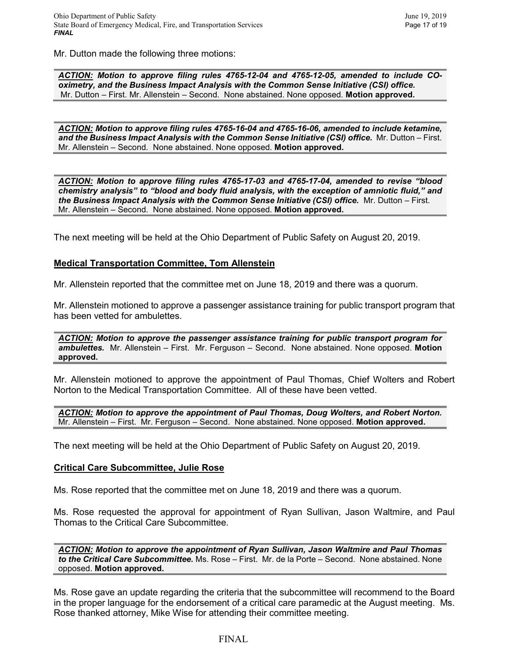Mr. Dutton made the following three motions:

*ACTION: Motion to approve filing rules 4765-12-04 and 4765-12-05, amended to include COoximetry, and the Business Impact Analysis with the Common Sense Initiative (CSI) office.*  Mr. Dutton – First. Mr. Allenstein – Second. None abstained. None opposed. **Motion approved.**

*ACTION: Motion to approve filing rules 4765-16-04 and 4765-16-06, amended to include ketamine, and the Business Impact Analysis with the Common Sense Initiative (CSI) office.* Mr. Dutton – First. Mr. Allenstein – Second. None abstained. None opposed. **Motion approved.**

*ACTION: Motion to approve filing rules 4765-17-03 and 4765-17-04, amended to revise "blood chemistry analysis" to "blood and body fluid analysis, with the exception of amniotic fluid," and the Business Impact Analysis with the Common Sense Initiative (CSI) office.* Mr. Dutton – First. Mr. Allenstein – Second. None abstained. None opposed. **Motion approved.**

The next meeting will be held at the Ohio Department of Public Safety on August 20, 2019.

#### **Medical Transportation Committee, Tom Allenstein**

Mr. Allenstein reported that the committee met on June 18, 2019 and there was a quorum.

Mr. Allenstein motioned to approve a passenger assistance training for public transport program that has been vetted for ambulettes.

*ACTION: Motion to approve the passenger assistance training for public transport program for ambulettes.* Mr. Allenstein – First. Mr. Ferguson – Second. None abstained. None opposed. **Motion approved.**

Mr. Allenstein motioned to approve the appointment of Paul Thomas, Chief Wolters and Robert Norton to the Medical Transportation Committee. All of these have been vetted.

*ACTION: Motion to approve the appointment of Paul Thomas, Doug Wolters, and Robert Norton.*  Mr. Allenstein – First. Mr. Ferguson – Second. None abstained. None opposed. **Motion approved.**

The next meeting will be held at the Ohio Department of Public Safety on August 20, 2019.

#### **Critical Care Subcommittee, Julie Rose**

Ms. Rose reported that the committee met on June 18, 2019 and there was a quorum.

Ms. Rose requested the approval for appointment of Ryan Sullivan, Jason Waltmire, and Paul Thomas to the Critical Care Subcommittee.

*ACTION: Motion to approve the appointment of Ryan Sullivan, Jason Waltmire and Paul Thomas to the Critical Care Subcommittee.* Ms. Rose – First. Mr. de la Porte – Second. None abstained. None opposed. **Motion approved.**

Ms. Rose gave an update regarding the criteria that the subcommittee will recommend to the Board in the proper language for the endorsement of a critical care paramedic at the August meeting. Ms. Rose thanked attorney, Mike Wise for attending their committee meeting.